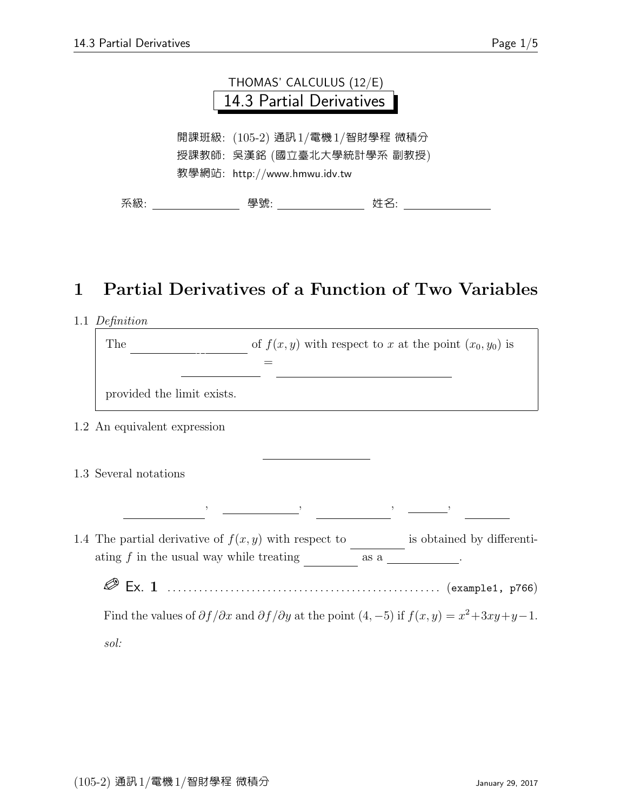

## 1 Partial Derivatives of a Function of Two Variables

| 1.1 Definition |
|----------------|
|----------------|

| of $f(x, y)$ with respect to x at the point $(x_0, y_0)$ is<br>The                                                                                                                                                                                                                                                                                                                 |
|------------------------------------------------------------------------------------------------------------------------------------------------------------------------------------------------------------------------------------------------------------------------------------------------------------------------------------------------------------------------------------|
| provided the limit exists.                                                                                                                                                                                                                                                                                                                                                         |
| 1.2 An equivalent expression                                                                                                                                                                                                                                                                                                                                                       |
| 1.3 Several notations                                                                                                                                                                                                                                                                                                                                                              |
| $\hspace{1.6cm},\hspace{1.4cm},\hspace{1.4cm},\hspace{1.4cm},\hspace{1.4cm},\hspace{1.4cm},\hspace{1.4cm},\hspace{1.4cm},\hspace{1.4cm},\hspace{1.4cm},\hspace{1.4cm},\hspace{1.4cm},\hspace{1.4cm},\hspace{1.4cm},\hspace{1.4cm},\hspace{1.4cm},\hspace{1.4cm},\hspace{1.4cm},\hspace{1.4cm},\hspace{1.4cm},\hspace{1.4cm},\hspace{1.4cm},\hspace{1.4cm},\hspace{1.4cm},\hspace{$ |
| 1.4 The partial derivative of $f(x, y)$ with respect to is obtained by differenti-<br>$\alpha$ ating $f$ in the usual way while treating $\alpha$ as a                                                                                                                                                                                                                             |
|                                                                                                                                                                                                                                                                                                                                                                                    |
| Find the values of $\partial f/\partial x$ and $\partial f/\partial y$ at the point $(4, -5)$ if $f(x, y) = x^2 + 3xy + y - 1$ .                                                                                                                                                                                                                                                   |

sol: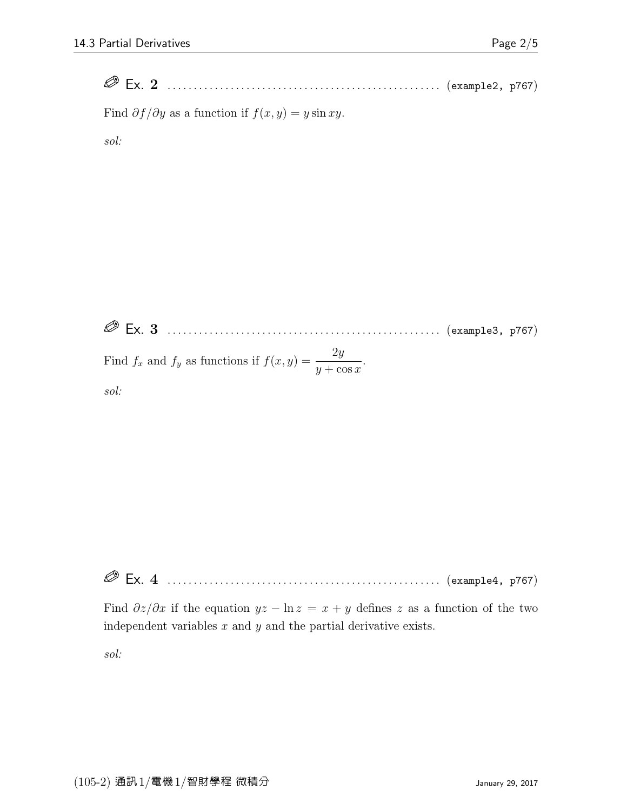Ex. 2 . . . . . . . . . . . . . . . . . . . . . . . . . . . . . . . . . . . . . . . . . . . . . . . . . . . . (example2, p767)

Find  $\partial f/\partial y$  as a function if  $f(x, y) = y \sin xy$ .

sol:

 Ex. 3 . . . . . . . . . . . . . . . . . . . . . . . . . . . . . . . . . . . . . . . . . . . . . . . . . . . . (example3, p767) Find  $f_x$  and  $f_y$  as functions if  $f(x, y) = \frac{2y}{y + \cos x}$ .

sol:

Ex. 4 . . . . . . . . . . . . . . . . . . . . . . . . . . . . . . . . . . . . . . . . . . . . . . . . . . . . (example4, p767)

Find  $\partial z/\partial x$  if the equation  $yz - \ln z = x + y$  defines z as a function of the two independent variables  $x$  and  $y$  and the partial derivative exists.

sol: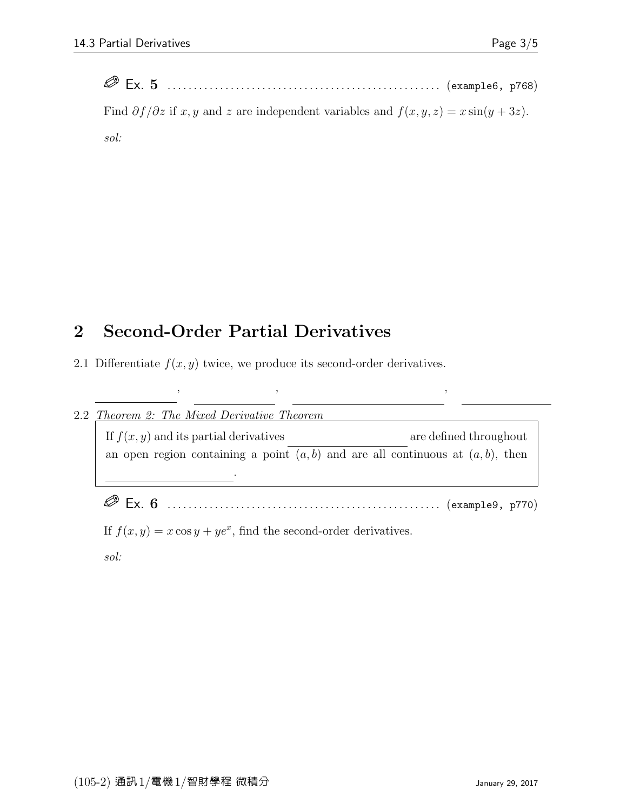| Find $\partial f/\partial z$ if x, y and z are independent variables and $f(x, y, z) = x \sin(y + 3z)$ . |  |
|----------------------------------------------------------------------------------------------------------|--|
| $s$ ol:                                                                                                  |  |

## 2 Second-Order Partial Derivatives

2.1 Differentiate  $f(x, y)$  twice, we produce its second-order derivatives.

| 2.2 | <i>Theorem 2: The Mixed Derivative Theorem</i>                                       |                                                                     |  |  |
|-----|--------------------------------------------------------------------------------------|---------------------------------------------------------------------|--|--|
|     | If $f(x, y)$ and its partial derivatives                                             | are defined throughout                                              |  |  |
|     | an open region containing a point $(a, b)$ and are all continuous at $(a, b)$ , then |                                                                     |  |  |
|     |                                                                                      |                                                                     |  |  |
|     |                                                                                      |                                                                     |  |  |
|     |                                                                                      | If $f(x, y) = x \cos y + ye^x$ , find the second-order derivatives. |  |  |
|     | $s$ ol:                                                                              |                                                                     |  |  |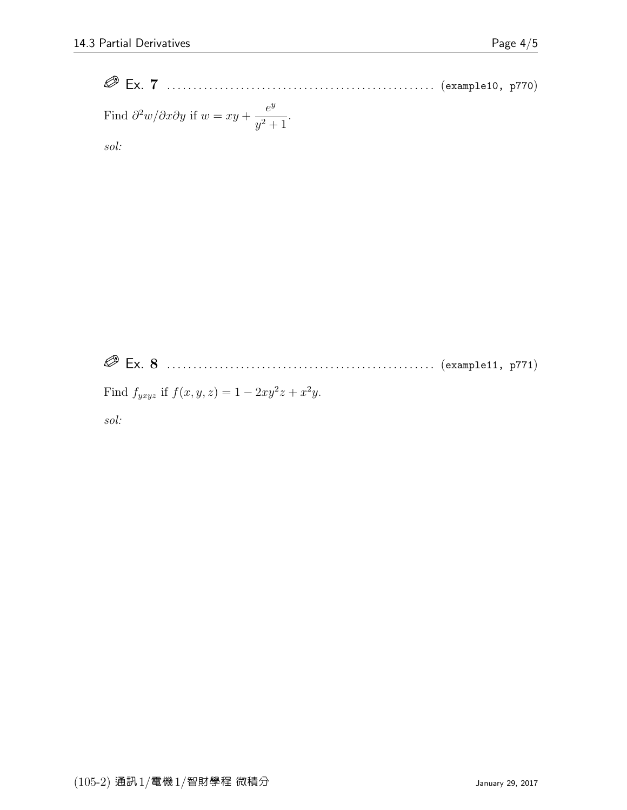Ex. 7 . . . . . . . . . . . . . . . . . . . . . . . . . . . . . . . . . . . . . . . . . . . . . . . . . . . (example10, p770) Find ∂ <sup>2</sup>w/∂x∂y if w = xy + e y y <sup>2</sup> + 1 .

sol:

Ex. 8 . . . . . . . . . . . . . . . . . . . . . . . . . . . . . . . . . . . . . . . . . . . . . . . . . . . (example11, p771)

Find  $f_{yxyz}$  if  $f(x, y, z) = 1 - 2xy^2z + x^2y$ .

sol: